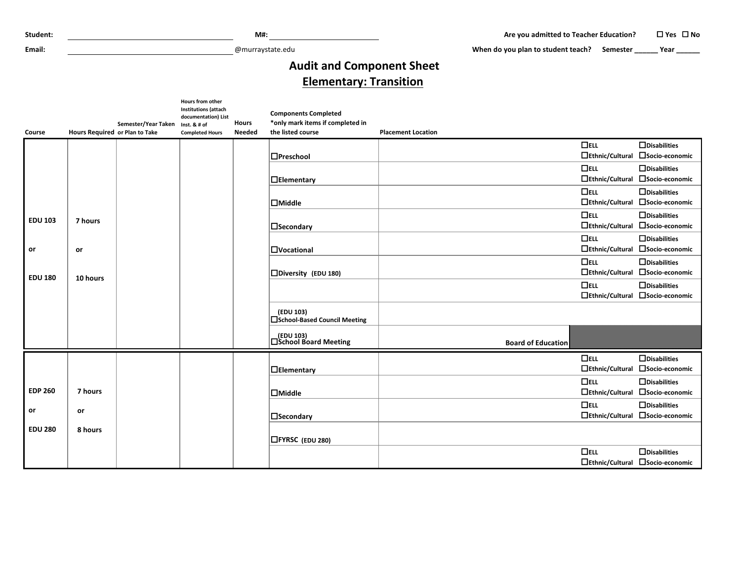**Email:** @murraystate.edu

When do you plan to student teach? Semester **\_\_\_\_\_\_** Year \_\_\_\_\_\_

## **Audit and Component Sheet Elementary: Transition**

| Course         | Hours Required or Plan to Take | Semester/Year Taken | Hours from other<br><b>Institutions (attach</b><br>documentation) List<br>Inst. & # of<br><b>Completed Hours</b> | <b>Hours</b><br><b>Needed</b> | <b>Components Completed</b><br>*only mark items if completed in<br>the listed course | <b>Placement Location</b> |                                      |                                                         |
|----------------|--------------------------------|---------------------|------------------------------------------------------------------------------------------------------------------|-------------------------------|--------------------------------------------------------------------------------------|---------------------------|--------------------------------------|---------------------------------------------------------|
|                |                                |                     |                                                                                                                  |                               |                                                                                      |                           | $\Box$ ELL<br>$\Box$ Ethnic/Cultural | $\Box$ Disabilities<br>□Socio-economic                  |
|                |                                |                     |                                                                                                                  |                               | $\Box$ Preschool                                                                     |                           |                                      |                                                         |
|                |                                |                     |                                                                                                                  |                               | $\Box$ Elementary                                                                    |                           | $\Box$ ELL<br>$\Box$ Ethnic/Cultural | $\Box$ Disabilities<br>□Socio-economic                  |
|                |                                |                     |                                                                                                                  |                               | $\Box$ Middle                                                                        |                           | $\Box$ ELL                           | $\Box$ Disabilities<br>□Ethnic/Cultural □Socio-economic |
|                |                                |                     |                                                                                                                  |                               |                                                                                      |                           | $\Box$ ELL                           | $\Box$ Disabilities                                     |
| <b>EDU 103</b> | 7 hours                        |                     |                                                                                                                  |                               | $\Box$ Secondary                                                                     |                           | $\Box$ Ethnic/Cultural               | □Socio-economic                                         |
| or             | or                             |                     |                                                                                                                  |                               | <b>Nocational</b>                                                                    |                           | $\Box$ ELL                           | $\Box$ Disabilities<br>□Ethnic/Cultural □Socio-economic |
|                |                                |                     |                                                                                                                  |                               |                                                                                      |                           | $\Box$ ELL                           | $\Box$ Disabilities                                     |
| <b>EDU 180</b> | 10 hours                       |                     |                                                                                                                  |                               | □Diversity (EDU 180)                                                                 |                           | $\Box$ Ethnic/Cultural               | □Socio-economic                                         |
|                |                                |                     |                                                                                                                  |                               |                                                                                      |                           | $\Box$ ELL                           | $\Box$ Disabilities<br>□Ethnic/Cultural □Socio-economic |
|                |                                |                     |                                                                                                                  |                               |                                                                                      |                           |                                      |                                                         |
|                |                                |                     |                                                                                                                  |                               | (EDU 103)<br><b>ISchool-Based Council Meeting</b>                                    |                           |                                      |                                                         |
|                |                                |                     |                                                                                                                  |                               | │ (EDU 103)<br>│ △School Board Meeting                                               | <b>Board of Education</b> |                                      |                                                         |
|                |                                |                     |                                                                                                                  |                               |                                                                                      |                           | $\Box$ ELL                           | $\Box$ Disabilities                                     |
|                |                                |                     |                                                                                                                  |                               | $\Box$ Elementary                                                                    |                           | $\Box$ Ethnic/Cultural               | □ Socio-economic                                        |
|                |                                |                     |                                                                                                                  |                               |                                                                                      |                           | $\Box$ ELL                           | $\Box$ Disabilities                                     |
| <b>EDP 260</b> | 7 hours                        |                     |                                                                                                                  |                               | $\Box$ Middle                                                                        |                           | $\Box$ Ethnic/Cultural               | □Socio-economic                                         |
| or             | or                             |                     |                                                                                                                  |                               |                                                                                      |                           | $\Box$ ELL                           | $\Box$ Disabilities                                     |
|                |                                |                     |                                                                                                                  |                               | $\Box$ Secondary                                                                     |                           |                                      | □Ethnic/Cultural □Socio-economic                        |
| <b>EDU 280</b> | 8 hours                        |                     |                                                                                                                  |                               | <b>□FYRSC</b> (EDU 280)                                                              |                           |                                      |                                                         |
|                |                                |                     |                                                                                                                  |                               |                                                                                      |                           | $\Box$ ELL                           | $\Box$ Disabilities                                     |
|                |                                |                     |                                                                                                                  |                               |                                                                                      |                           |                                      | □Ethnic/Cultural □Socio-economic                        |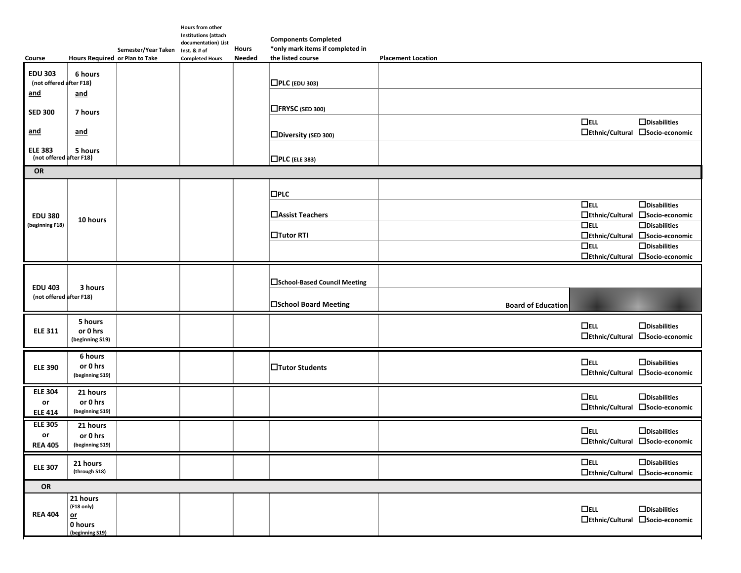|                                           |                                                              |                                  | <b>Hours from other</b><br><b>Institutions (attach</b> |               | <b>Components Completed</b>      |                                                 |                                                               |
|-------------------------------------------|--------------------------------------------------------------|----------------------------------|--------------------------------------------------------|---------------|----------------------------------|-------------------------------------------------|---------------------------------------------------------------|
|                                           |                                                              | Semester/Year Taken Inst. & # of | documentation) List                                    | <b>Hours</b>  | *only mark items if completed in |                                                 |                                                               |
| Course                                    | Hours Required or Plan to Take                               |                                  | <b>Completed Hours</b>                                 | <b>Needed</b> | the listed course                | <b>Placement Location</b>                       |                                                               |
| <b>EDU 303</b><br>(not offered after F18) | 6 hours                                                      |                                  |                                                        |               | $\Box$ PLC (EDU 303)             |                                                 |                                                               |
| <u>and</u><br><b>SED 300</b>              | and<br>7 hours                                               |                                  |                                                        |               | □FRYSC (SED 300)                 |                                                 |                                                               |
| <u>and</u>                                | and                                                          |                                  |                                                        |               | □Diversity (SED 300)             | $\Box$ ELL<br>$\Box$ Ethnic/Cultural            | $\Box$ Disabilities<br>□Socio-economic                        |
| <b>ELE 383</b><br>(not offered after F18) | 5 hours                                                      |                                  |                                                        |               | $\Box$ PLC (ELE 383)             |                                                 |                                                               |
| OR                                        |                                                              |                                  |                                                        |               |                                  |                                                 |                                                               |
|                                           |                                                              |                                  |                                                        |               | $\square$ PLC                    |                                                 |                                                               |
| <b>EDU 380</b><br>(beginning F18)         | 10 hours                                                     |                                  |                                                        |               | □ Assist Teachers                | $D$ ELL<br>$\Box$ Ethnic/Cultural<br>$\Box$ ELL | $\Box$ Disabilities<br>□Socio-economic<br>$\Box$ Disabilities |
|                                           |                                                              |                                  |                                                        |               | $\Box$ Tutor RTI                 | $\Box$ Ethnic/Cultural<br>$\Box$ ELL            | □Socio-economic<br>$\Box$ Disabilities                        |
|                                           |                                                              |                                  |                                                        |               |                                  |                                                 | □Ethnic/Cultural □Socio-economic                              |
| <b>EDU 403</b>                            | 3 hours                                                      |                                  |                                                        |               | □School-Based Council Meeting    |                                                 |                                                               |
| (not offered after F18)                   |                                                              |                                  |                                                        |               | □School Board Meeting            | <b>Board of Education</b>                       |                                                               |
| <b>ELE 311</b>                            | 5 hours<br>or 0 hrs<br>(beginning S19)                       |                                  |                                                        |               |                                  | $\Box$ ELL                                      | $\Box$ Disabilities<br>□Ethnic/Cultural □Socio-economic       |
| <b>ELE 390</b>                            | 6 hours<br>or 0 hrs<br>(beginning S19)                       |                                  |                                                        |               | □Tutor Students                  | $\Box$ ELL                                      | $\Box$ Disabilities<br>□Ethnic/Cultural □Socio-economic       |
| <b>ELE 304</b><br>or<br><b>ELE 414</b>    | 21 hours<br>or 0 hrs<br>(beginning S19)                      |                                  |                                                        |               |                                  | $\Box$ ELL                                      | $\Box$ Disabilities<br>□Ethnic/Cultural □Socio-economic       |
| <b>ELE 305</b><br>or<br><b>REA 405</b>    | 21 hours<br>or 0 hrs<br>(beginning S19)                      |                                  |                                                        |               |                                  | $\Box$ ELL                                      | $\Box$ Disabilities<br>□Ethnic/Cultural □Socio-economic       |
| <b>ELE 307</b>                            | 21 hours<br>(through S18)                                    |                                  |                                                        |               |                                  | $\Box$ ELL                                      | $\Box$ Disabilities<br>□Ethnic/Cultural □Socio-economic       |
| OR                                        |                                                              |                                  |                                                        |               |                                  |                                                 |                                                               |
| <b>REA 404</b>                            | 21 hours<br>(F18 only)<br>$or$<br>0 hours<br>(beginning S19) |                                  |                                                        |               |                                  | $\Box$ ELL                                      | $\Box$ Disabilities<br>□Ethnic/Cultural □Socio-economic       |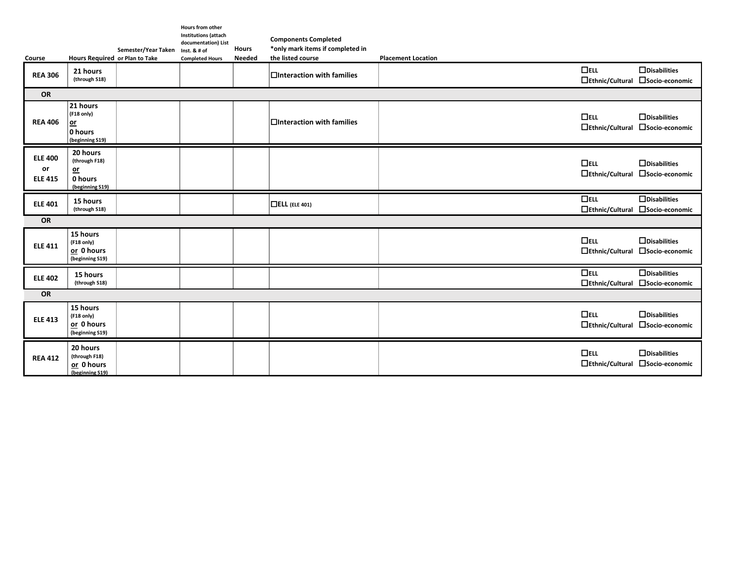| Course                                 | Hours Required or Plan to Take                                    | Semester/Year Taken | Hours from other<br><b>Institutions (attach</b><br>documentation) List<br>Inst. & # of<br><b>Completed Hours</b> | <b>Hours</b><br><b>Needed</b> | <b>Components Completed</b><br>*only mark items if completed in<br>the listed course | <b>Placement Location</b> |                                      |                                                         |
|----------------------------------------|-------------------------------------------------------------------|---------------------|------------------------------------------------------------------------------------------------------------------|-------------------------------|--------------------------------------------------------------------------------------|---------------------------|--------------------------------------|---------------------------------------------------------|
| <b>REA 306</b>                         | 21 hours<br>(through S18)                                         |                     |                                                                                                                  |                               | $\Box$ Interaction with families                                                     |                           | $\Box$ ELL                           | $\Box$ Disabilities<br>□Ethnic/Cultural □Socio-economic |
| OR                                     |                                                                   |                     |                                                                                                                  |                               |                                                                                      |                           |                                      |                                                         |
| <b>REA 406</b>                         | 21 hours<br>(F18 only)<br><u>or</u><br>0 hours<br>(beginning S19) |                     |                                                                                                                  |                               | $\Box$ Interaction with families                                                     |                           | $\Box$ ELL                           | $\Box$ Disabilities<br>□Ethnic/Cultural □Socio-economic |
| <b>ELE 400</b><br>or<br><b>ELE 415</b> | 20 hours<br>(through F18)<br>$o$<br>0 hours<br>(beginning S19)    |                     |                                                                                                                  |                               |                                                                                      |                           | $\Box$ ELL                           | $\Box$ Disabilities<br>□Ethnic/Cultural □Socio-economic |
| <b>ELE 401</b>                         | 15 hours<br>(through S18)                                         |                     |                                                                                                                  |                               | $\Box$ ELL (ELE 401)                                                                 |                           | $\Box$ ELL<br>$\Box$ Ethnic/Cultural | $\Box$ Disabilities<br>□Socio-economic                  |
| OR                                     |                                                                   |                     |                                                                                                                  |                               |                                                                                      |                           |                                      |                                                         |
| <b>ELE 411</b>                         | 15 hours<br>(F18 only)<br>or 0 hours<br>(beginning S19)           |                     |                                                                                                                  |                               |                                                                                      |                           | $\Box$ ELL                           | $\Box$ Disabilities<br>□Ethnic/Cultural □Socio-economic |
| <b>ELE 402</b>                         | 15 hours<br>(through S18)                                         |                     |                                                                                                                  |                               |                                                                                      |                           | $\overline{\Box}$                    | $\Box$ Disabilities<br>□Ethnic/Cultural □Socio-economic |
| OR                                     |                                                                   |                     |                                                                                                                  |                               |                                                                                      |                           |                                      |                                                         |
| <b>ELE 413</b>                         | 15 hours<br>(F18 only)<br>or 0 hours<br>(beginning S19)           |                     |                                                                                                                  |                               |                                                                                      |                           | $\Box$ ELL                           | $\Box$ Disabilities<br>□Ethnic/Cultural □Socio-economic |
| <b>REA 412</b>                         | 20 hours<br>(through F18)<br>or 0 hours<br>(beginning S19)        |                     |                                                                                                                  |                               |                                                                                      |                           | $\Box$ ELL                           | $\Box$ Disabilities<br>□Ethnic/Cultural □Socio-economic |